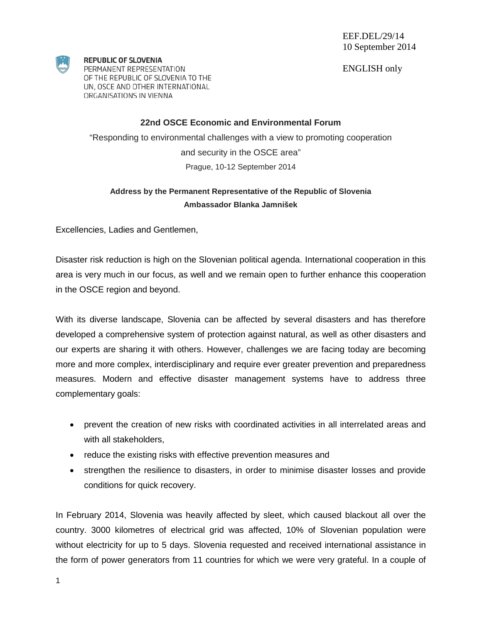ENGLISH only



**REPUBLIC OF SLOVENIA** PERMANENT REPRESENTATION

OF THE REPUBLIC OF SLOVENIA TO THE UN, OSCE AND OTHER INTERNATIONAL ORGANISATIONS IN VIENNA

## **22nd OSCE Economic and Environmental Forum**

"Responding to environmental challenges with a view to promoting cooperation and security in the OSCE area" Prague, 10-12 September 2014

## **Address by the Permanent Representative of the Republic of Slovenia Ambassador Blanka Jamnišek**

Excellencies, Ladies and Gentlemen,

Disaster risk reduction is high on the Slovenian political agenda. International cooperation in this area is very much in our focus, as well and we remain open to further enhance this cooperation in the OSCE region and beyond.

With its diverse landscape, Slovenia can be affected by several disasters and has therefore developed a comprehensive system of protection against natural, as well as other disasters and our experts are sharing it with others. However, challenges we are facing today are becoming more and more complex, interdisciplinary and require ever greater prevention and preparedness measures. Modern and effective disaster management systems have to address three complementary goals:

- prevent the creation of new risks with coordinated activities in all interrelated areas and with all stakeholders,
- reduce the existing risks with effective prevention measures and
- strengthen the resilience to disasters, in order to minimise disaster losses and provide conditions for quick recovery.

In February 2014, Slovenia was heavily affected by sleet, which caused blackout all over the country. 3000 kilometres of electrical grid was affected, 10% of Slovenian population were without electricity for up to 5 days. Slovenia requested and received international assistance in the form of power generators from 11 countries for which we were very grateful. In a couple of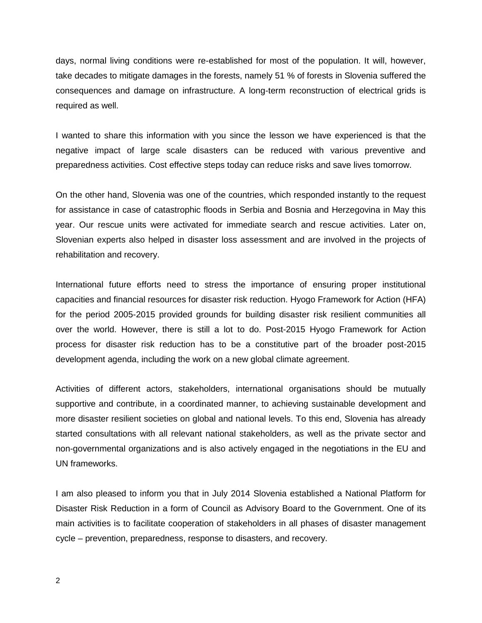days, normal living conditions were re-established for most of the population. It will, however, take decades to mitigate damages in the forests, namely 51 % of forests in Slovenia suffered the consequences and damage on infrastructure. A long-term reconstruction of electrical grids is required as well.

I wanted to share this information with you since the lesson we have experienced is that the negative impact of large scale disasters can be reduced with various preventive and preparedness activities. Cost effective steps today can reduce risks and save lives tomorrow.

On the other hand, Slovenia was one of the countries, which responded instantly to the request for assistance in case of catastrophic floods in Serbia and Bosnia and Herzegovina in May this year. Our rescue units were activated for immediate search and rescue activities. Later on, Slovenian experts also helped in disaster loss assessment and are involved in the projects of rehabilitation and recovery.

International future efforts need to stress the importance of ensuring proper institutional capacities and financial resources for disaster risk reduction. Hyogo Framework for Action (HFA) for the period 2005-2015 provided grounds for building disaster risk resilient communities all over the world. However, there is still a lot to do. Post-2015 Hyogo Framework for Action process for disaster risk reduction has to be a constitutive part of the broader post-2015 development agenda, including the work on a new global climate agreement.

Activities of different actors, stakeholders, international organisations should be mutually supportive and contribute, in a coordinated manner, to achieving sustainable development and more disaster resilient societies on global and national levels. To this end, Slovenia has already started consultations with all relevant national stakeholders, as well as the private sector and non-governmental organizations and is also actively engaged in the negotiations in the EU and UN frameworks.

I am also pleased to inform you that in July 2014 Slovenia established a National Platform for Disaster Risk Reduction in a form of Council as Advisory Board to the Government. One of its main activities is to facilitate cooperation of stakeholders in all phases of disaster management cycle – prevention, preparedness, response to disasters, and recovery.